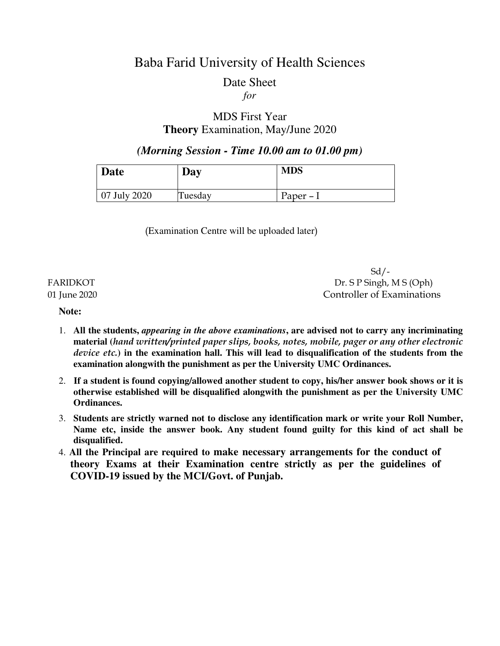# Baba Farid University of Health Sciences

# Date Sheet

### *for*

### MDS First Year **Theory** Examination, May/June 2020

 *(Morning Session - Time 10.00 am to 01.00 pm)* 

| <b>Date</b>           | Day     | <b>MDS</b> |
|-----------------------|---------|------------|
| $\sqrt{07}$ July 2020 | Tuesday | Paper $-I$ |

(Examination Centre will be uploaded later)

 $Sd$  /-FARIDKOT Dr. S P Singh, M S (Oph) 01 June 2020 Controller of Examinations

#### **Note:**

- 1. **All the students,** *appearing in the above examinations***, are advised not to carry any incriminating material (***hand written/printed paper slips, books, notes, mobile, pager or any other electronic device etc.***) in the examination hall. This will lead to disqualification of the students from the examination alongwith the punishment as per the University UMC Ordinances.**
- 2. **If a student is found copying/allowed another student to copy, his/her answer book shows or it is otherwise established will be disqualified alongwith the punishment as per the University UMC Ordinances.**
- 3. **Students are strictly warned not to disclose any identification mark or write your Roll Number, Name etc, inside the answer book. Any student found guilty for this kind of act shall be disqualified.**
- 4. **All the Principal are required to make necessary arrangements for the conduct of theory Exams at their Examination centre strictly as per the guidelines of COVID-19 issued by the MCI/Govt. of Punjab.**